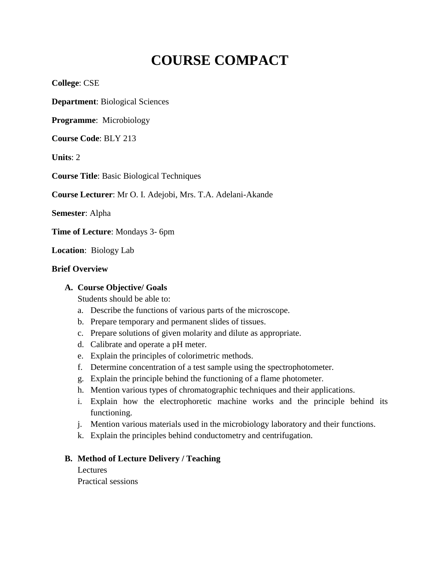# **COURSE COMPACT**

**College**: CSE

**Department**: Biological Sciences

**Programme**: Microbiology

**Course Code**: BLY 213

**Units**: 2

**Course Title**: Basic Biological Techniques

**Course Lecturer**: Mr O. I. Adejobi, Mrs. T.A. Adelani-Akande

**Semester**: Alpha

**Time of Lecture**: Mondays 3- 6pm

**Location**: Biology Lab

#### **Brief Overview**

#### **A. Course Objective/ Goals**

Students should be able to:

- a. Describe the functions of various parts of the microscope.
- b. Prepare temporary and permanent slides of tissues.
- c. Prepare solutions of given molarity and dilute as appropriate.
- d. Calibrate and operate a pH meter.
- e. Explain the principles of colorimetric methods.
- f. Determine concentration of a test sample using the spectrophotometer.
- g. Explain the principle behind the functioning of a flame photometer.
- h. Mention various types of chromatographic techniques and their applications.
- i. Explain how the electrophoretic machine works and the principle behind its functioning.
- j. Mention various materials used in the microbiology laboratory and their functions.
- k. Explain the principles behind conductometry and centrifugation.

#### **B. Method of Lecture Delivery / Teaching**

Lectures

Practical sessions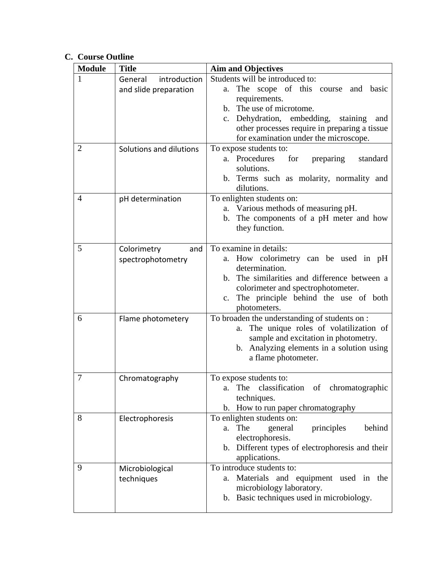# **C. Course Outline**

| <b>Module</b>  | <b>Title</b>                                     | <b>Aim and Objectives</b>                                                                                                                                                                                                                                                                |
|----------------|--------------------------------------------------|------------------------------------------------------------------------------------------------------------------------------------------------------------------------------------------------------------------------------------------------------------------------------------------|
| 1              | introduction<br>General<br>and slide preparation | Students will be introduced to:<br>scope of this course<br>The<br>basic<br>and<br>a.<br>requirements.<br>b. The use of microtome.<br>Dehydration, embedding,<br>staining<br>$c_{\cdot}$<br>and<br>other processes require in preparing a tissue<br>for examination under the microscope. |
| $\overline{2}$ | Solutions and dilutions                          | To expose students to:<br>a. Procedures<br>for<br>preparing<br>standard<br>solutions.<br>b. Terms such as molarity, normality and<br>dilutions.                                                                                                                                          |
| $\overline{4}$ | pH determination                                 | To enlighten students on:<br>a. Various methods of measuring pH.<br>The components of a pH meter and how<br>b.<br>they function.                                                                                                                                                         |
| 5              | Colorimetry<br>and<br>spectrophotometry          | To examine in details:<br>a. How colorimetry can be used in pH<br>determination.<br>b. The similarities and difference between a<br>colorimeter and spectrophotometer.<br>c. The principle behind the use of both<br>photometers.                                                        |
| 6              | Flame photometery                                | To broaden the understanding of students on :<br>The unique roles of volatilization of<br>a.<br>sample and excitation in photometry.<br>b. Analyzing elements in a solution using<br>a flame photometer.                                                                                 |
| 7              | Chromatography                                   | To expose students to:<br>The classification of chromatographic<br>a.<br>techniques.<br>b. How to run paper chromatography                                                                                                                                                               |
| 8              | Electrophoresis                                  | To enlighten students on:<br>The<br>principles<br>behind<br>general<br>a.<br>electrophoresis.<br>b. Different types of electrophoresis and their<br>applications.                                                                                                                        |
| 9              | Microbiological<br>techniques                    | To introduce students to:<br>a. Materials and equipment used in the<br>microbiology laboratory.<br>b. Basic techniques used in microbiology.                                                                                                                                             |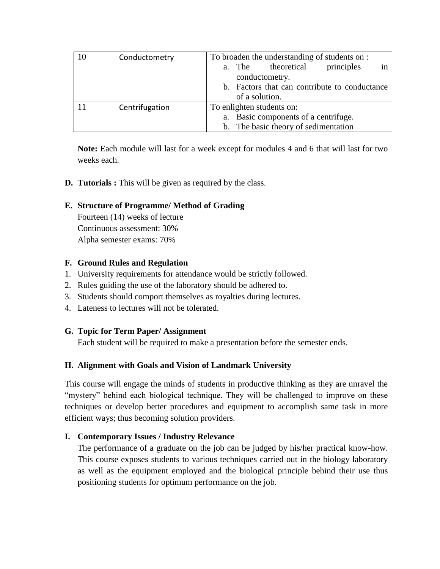| 10 | Conductometry  | To broaden the understanding of students on :<br>theoretical<br>principles<br>a. The<br>in<br>conductometry.<br>b. Factors that can contribute to conductance<br>of a solution. |
|----|----------------|---------------------------------------------------------------------------------------------------------------------------------------------------------------------------------|
|    | Centrifugation | To enlighten students on:<br>a. Basic components of a centrifuge.<br>b. The basic theory of sedimentation                                                                       |

**Note:** Each module will last for a week except for modules 4 and 6 that will last for two weeks each.

**D. Tutorials :** This will be given as required by the class.

### **E. Structure of Programme/ Method of Grading**

Fourteen (14) weeks of lecture Continuous assessment: 30% Alpha semester exams: 70%

#### **F. Ground Rules and Regulation**

- 1. University requirements for attendance would be strictly followed.
- 2. Rules guiding the use of the laboratory should be adhered to.
- 3. Students should comport themselves as royalties during lectures.
- 4. Lateness to lectures will not be tolerated.

#### **G. Topic for Term Paper/ Assignment**

Each student will be required to make a presentation before the semester ends.

## **H. Alignment with Goals and Vision of Landmark University**

This course will engage the minds of students in productive thinking as they are unravel the "mystery" behind each biological technique. They will be challenged to improve on these techniques or develop better procedures and equipment to accomplish same task in more efficient ways; thus becoming solution providers.

## **I. Contemporary Issues / Industry Relevance**

The performance of a graduate on the job can be judged by his/her practical know-how. This course exposes students to various techniques carried out in the biology laboratory as well as the equipment employed and the biological principle behind their use thus positioning students for optimum performance on the job.